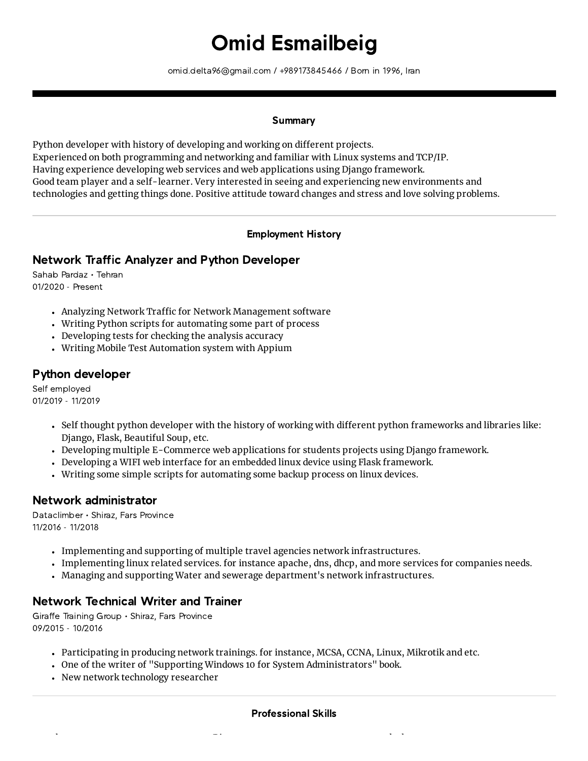# Omid Esmailbeig

omid.delta96@gmail.com / +989173845466 / Born in 1996, Iran

#### **Summary**

Python developer with history of developing and working on different projects. Experienced on both programming and networking and familiar with Linux systems and TCP/IP. Having experience developing web services and web applications using Django framework. Good team player and a self-learner. Very interested in seeing and experiencing new environments and technologies and getting things done. Positive attitude toward changes and stress and love solving problems.

#### Employment History

# Network Traffic Analyzer and Python Developer

Sahab Pardaz • Tehran 01/2020 - Present

- Analyzing Network Traffic for Network Management software
- Writing Python scripts for automating some part of process
- Developing tests for checking the analysis accuracy
- Writing Mobile Test Automation system with Appium

## Python developer

Self employed 01/2019 - 11/2019

- Self thought python developer with the history of working with different python frameworks and libraries like: Django, Flask, Beautiful Soup, etc.
- Developing multiple E-Commerce web applications for students projects using Django framework.
- Developing a WIFI web interface for an embedded linux device using Flask framework.
- Writing some simple scripts for automating some backup process on linux devices.

## Network administrator

Dataclimber • Shiraz, Fars Province 11/2016 - 11/2018

- Implementing and supporting of multiple travel agencies network infrastructures.
- Implementing linux related services. for instance apache, dns, dhcp, and more services for companies needs.
- Managing and supporting Water and sewerage department's network infrastructures.

## Network Technical Writer and Trainer

Giraffe Training Group • Shiraz, Fars Province 09/2015 - 10/2016

- Participating in producing network trainings. for instance, MCSA, CCNA, Linux, Mikrotik and etc.
- One of the writer of "Supporting Windows 10 for System Administrators" book.

h Dj l k

New network technology researcher